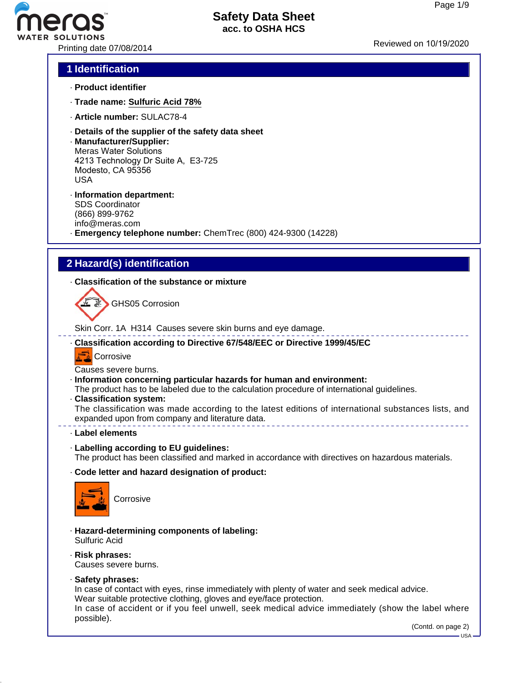# **R SOLUTIONS**

## **Safety Data Sheet acc. to OSHA HCS**

Printing date 07/08/2014 **Printing** date 07/08/2014

## **1 Identification**

- · **Product identifier**
- · **Trade name: Sulfuric Acid 78%**
- · **Article number:** SULAC78-4
- · **Details of the supplier of the safety data sheet**
- · **Manufacturer/Supplier:** Meras Water Solutions 4213 Technology Dr Suite A, E3-725 Modesto, CA 95356 USA
- · **Information department:** SDS Coordinator (866) 899-9762 info@meras.com

· **Emergency telephone number:** ChemTrec (800) 424-9300 (14228)

## **2 Hazard(s) identification**

· **Classification of the substance or mixture**

GHS05 Corrosion

Skin Corr. 1A H314 Causes severe skin burns and eye damage.

· **Classification according to Directive 67/548/EEC or Directive 1999/45/EC**

**Corrosive** 

Causes severe burns.

· **Information concerning particular hazards for human and environment:**

The product has to be labeled due to the calculation procedure of international guidelines.

- · **Classification system:**
- The classification was made according to the latest editions of international substances lists, and expanded upon from company and literature data. \_\_\_\_\_\_\_\_\_\_\_\_\_\_\_\_\_\_\_\_\_\_\_\_\_\_\_\_\_\_\_\_
- · **Label elements**
- · **Labelling according to EU guidelines:**

The product has been classified and marked in accordance with directives on hazardous materials.

· **Code letter and hazard designation of product:**



**Corrosive** 

- · **Hazard-determining components of labeling:** Sulfuric Acid
- · **Risk phrases:** Causes severe burns.
- · **Safety phrases:**

In case of contact with eyes, rinse immediately with plenty of water and seek medical advice. Wear suitable protective clothing, gloves and eye/face protection.

In case of accident or if you feel unwell, seek medical advice immediately (show the label where possible).

(Contd. on page 2)

USA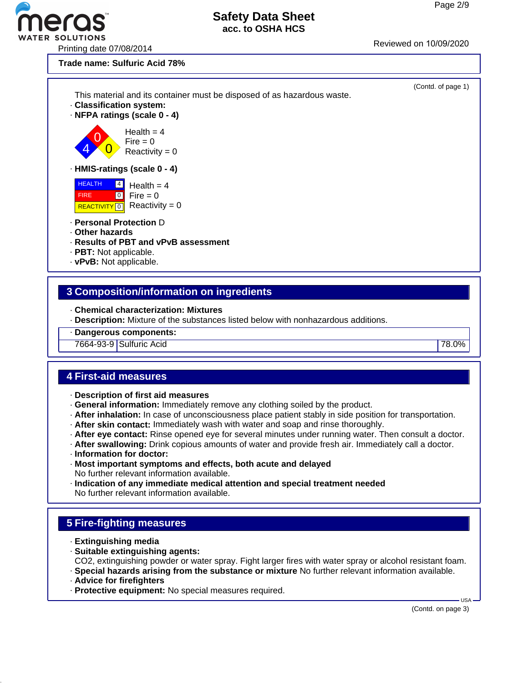ER SOLUTIONS<br>Printing date 07/08/2014 Printing date 07/08/2014

**Trade name: Sulfuric Acid 78%**



## **3 Composition/information on ingredients**

· **Chemical characterization: Mixtures**

· **Description:** Mixture of the substances listed below with nonhazardous additions.

· **Dangerous components:**

7664-93-9 Sulfuric Acid 78.0%

#### **4 First-aid measures**

- · **Description of first aid measures**
- · **General information:** Immediately remove any clothing soiled by the product.
- · **After inhalation:** In case of unconsciousness place patient stably in side position for transportation.
- · **After skin contact:** Immediately wash with water and soap and rinse thoroughly.
- · **After eye contact:** Rinse opened eye for several minutes under running water. Then consult a doctor.
- · **After swallowing:** Drink copious amounts of water and provide fresh air. Immediately call a doctor.
- · **Information for doctor:**
- · **Most important symptoms and effects, both acute and delayed** No further relevant information available.
- · **Indication of any immediate medical attention and special treatment needed** No further relevant information available.

## **5 Fire-fighting measures**

- · **Extinguishing media**
- · **Suitable extinguishing agents:**

CO2, extinguishing powder or water spray. Fight larger fires with water spray or alcohol resistant foam.

- · **Special hazards arising from the substance or mixture** No further relevant information available.
- · **Advice for firefighters**
- · **Protective equipment:** No special measures required.

(Contd. on page 3)

 $-1$ ISA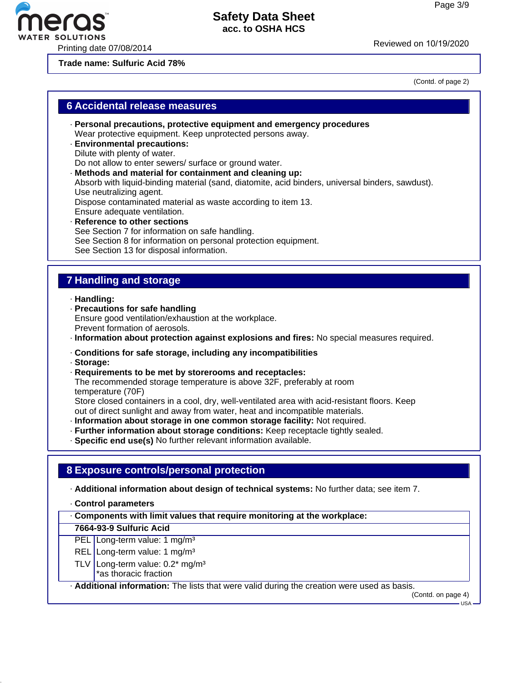Printing date 07/08/2014 Reviewed on 10/19/20<sup>20</sup>

**Trade name: Sulfuric Acid 78%**

(Contd. of page 2)

#### **6 Accidental release measures**

- · **Personal precautions, protective equipment and emergency procedures** Wear protective equipment. Keep unprotected persons away.
- · **Environmental precautions:** Dilute with plenty of water.

Do not allow to enter sewers/ surface or ground water.

- · **Methods and material for containment and cleaning up:** Absorb with liquid-binding material (sand, diatomite, acid binders, universal binders, sawdust). Use neutralizing agent. Dispose contaminated material as waste according to item 13. Ensure adequate ventilation. · **Reference to other sections** See Section 7 for information on safe handling.
- See Section 8 for information on personal protection equipment.
- See Section 13 for disposal information.

## **7 Handling and storage**

· **Handling:**

· **Precautions for safe handling** Ensure good ventilation/exhaustion at the workplace. Prevent formation of aerosols.

· **Information about protection against explosions and fires:** No special measures required.

- · **Conditions for safe storage, including any incompatibilities**
- · **Storage:**
- · **Requirements to be met by storerooms and receptacles:** The recommended storage temperature is above 32F, preferably at room temperature (70F) Store closed containers in a cool, dry, well-ventilated area with acid-resistant floors. Keep
- out of direct sunlight and away from water, heat and incompatible materials.
- · **Information about storage in one common storage facility:** Not required.
- · **Further information about storage conditions:** Keep receptacle tightly sealed.
- · **Specific end use(s)** No further relevant information available.

#### **8 Exposure controls/personal protection**

· **Additional information about design of technical systems:** No further data; see item 7.

· **Control parameters**

· **Components with limit values that require monitoring at the workplace:**

#### **7664-93-9 Sulfuric Acid**

- PEL Long-term value: 1 mg/m<sup>3</sup>
- REL Long-term value: 1 mg/m<sup>3</sup>
- TLV Long-term value:  $0.2^*$  mg/m<sup>3</sup>
	- \*as thoracic fraction

· **Additional information:** The lists that were valid during the creation were used as basis.

(Contd. on page 4)

USA

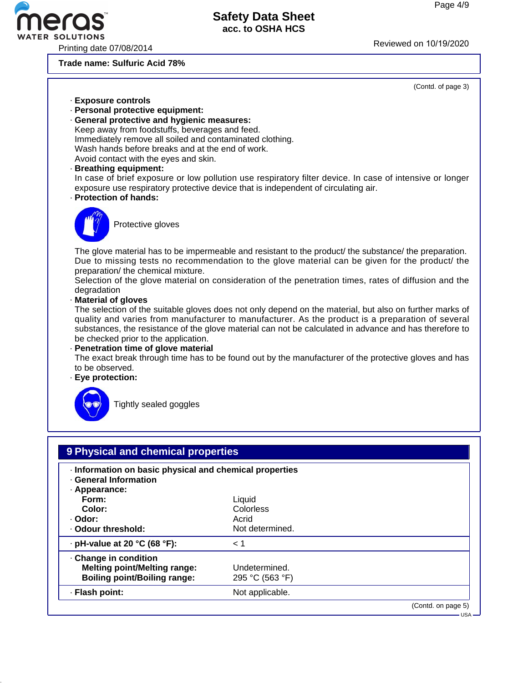## **R SOLUTIONS**

## **Safety Data Sheet acc. to OSHA HCS**

Printing date 07/08/2014 **Reviewed on 10/19/2020** 

**Trade name: Sulfuric Acid 78%**

(Contd. of page 3)

- · **Exposure controls**
- · **Personal protective equipment:**
- · **General protective and hygienic measures:** Keep away from foodstuffs, beverages and feed. Immediately remove all soiled and contaminated clothing. Wash hands before breaks and at the end of work. Avoid contact with the eyes and skin.
- · **Breathing equipment:**

In case of brief exposure or low pollution use respiratory filter device. In case of intensive or longer exposure use respiratory protective device that is independent of circulating air.

· **Protection of hands:**



Protective gloves

The glove material has to be impermeable and resistant to the product/ the substance/ the preparation. Due to missing tests no recommendation to the glove material can be given for the product/ the preparation/ the chemical mixture.

Selection of the glove material on consideration of the penetration times, rates of diffusion and the degradation

· **Material of gloves**

The selection of the suitable gloves does not only depend on the material, but also on further marks of quality and varies from manufacturer to manufacturer. As the product is a preparation of several substances, the resistance of the glove material can not be calculated in advance and has therefore to be checked prior to the application.

· **Penetration time of glove material**

The exact break through time has to be found out by the manufacturer of the protective gloves and has to be observed.

· **Eye protection:**



Tightly sealed goggles

| · Information on basic physical and chemical properties<br><b>General Information</b><br>· Appearance: |                 |  |
|--------------------------------------------------------------------------------------------------------|-----------------|--|
| Form:                                                                                                  | Liquid          |  |
| Color:                                                                                                 | Colorless       |  |
| · Odor:                                                                                                | Acrid           |  |
| . Odour threshold:                                                                                     | Not determined. |  |
| $\cdot$ pH-value at 20 °C (68 °F):                                                                     | $\leq 1$        |  |
| Change in condition                                                                                    |                 |  |
| <b>Melting point/Melting range:</b>                                                                    | Undetermined.   |  |
| <b>Boiling point/Boiling range:</b>                                                                    | 295 °C (563 °F) |  |
| · Flash point:                                                                                         | Not applicable. |  |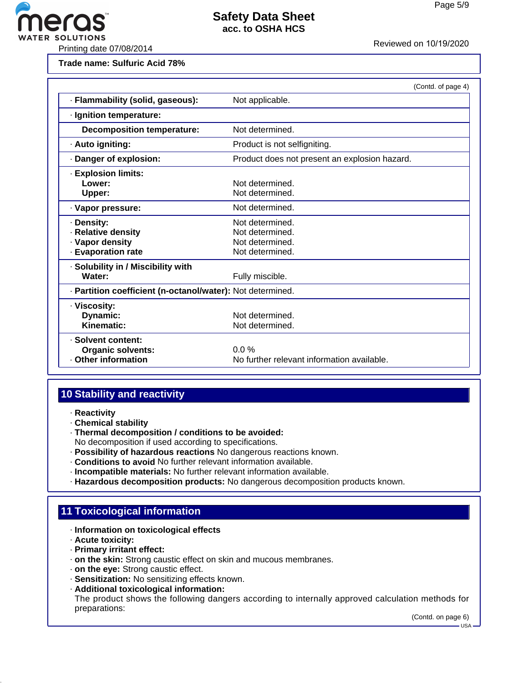

**Trade name: Sulfuric Acid 78%**

|                                                                                | (Contd. of page 4)                                                       |  |
|--------------------------------------------------------------------------------|--------------------------------------------------------------------------|--|
| · Flammability (solid, gaseous):                                               | Not applicable.                                                          |  |
| · Ignition temperature:                                                        |                                                                          |  |
| <b>Decomposition temperature:</b>                                              | Not determined.                                                          |  |
| · Auto igniting:                                                               | Product is not selfigniting.                                             |  |
| · Danger of explosion:                                                         | Product does not present an explosion hazard.                            |  |
| <b>Explosion limits:</b><br>Lower:<br>Upper:                                   | Not determined.<br>Not determined.                                       |  |
| · Vapor pressure:                                                              | Not determined.                                                          |  |
| · Density:<br>· Relative density<br>· Vapor density<br><b>Evaporation rate</b> | Not determined.<br>Not determined.<br>Not determined.<br>Not determined. |  |
| · Solubility in / Miscibility with<br>Water:                                   | Fully miscible.                                                          |  |
| - Partition coefficient (n-octanol/water): Not determined.                     |                                                                          |  |
| · Viscosity:<br>Dynamic:<br>Kinematic:                                         | Not determined.<br>Not determined.                                       |  |
| · Solvent content:<br><b>Organic solvents:</b><br>Other information            | $0.0\%$<br>No further relevant information available.                    |  |

## **10 Stability and reactivity**

- · **Reactivity**
- · **Chemical stability**
- · **Thermal decomposition / conditions to be avoided:**

No decomposition if used according to specifications.

- · **Possibility of hazardous reactions** No dangerous reactions known.
- · **Conditions to avoid** No further relevant information available.
- · **Incompatible materials:** No further relevant information available.
- · **Hazardous decomposition products:** No dangerous decomposition products known.

## **11 Toxicological information**

- · **Information on toxicological effects**
- · **Acute toxicity:**
- · **Primary irritant effect:**
- · **on the skin:** Strong caustic effect on skin and mucous membranes.
- · **on the eye:** Strong caustic effect.
- · **Sensitization:** No sensitizing effects known.
- · **Additional toxicological information:**

The product shows the following dangers according to internally approved calculation methods for preparations:

(Contd. on page 6)

 $-1$ ISA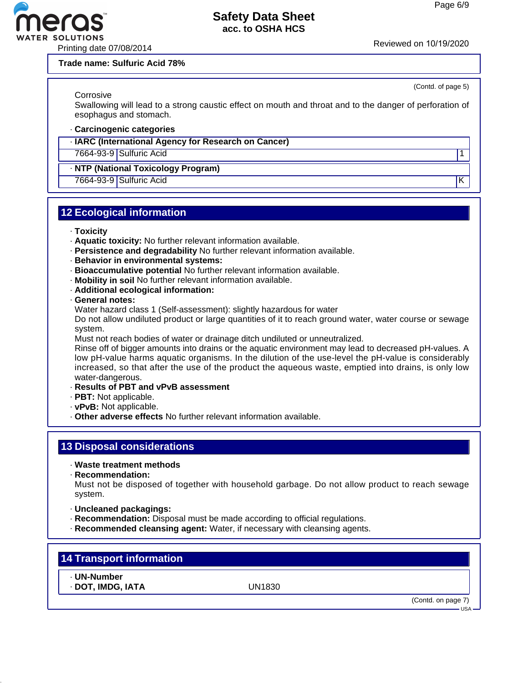#### **Trade name: Sulfuric Acid 78%**

**Corrosive** 

Swallowing will lead to a strong caustic effect on mouth and throat and to the danger of perforation of esophagus and stomach.

#### · **Carcinogenic categories**

· **IARC (International Agency for Research on Cancer)**

7664-93-9 Sulfuric Acid 1

#### · **NTP (National Toxicology Program)**

7664-93-9 Sulfuric Acid K

## **12 Ecological information**

- · **Toxicity**
- · **Aquatic toxicity:** No further relevant information available.
- · **Persistence and degradability** No further relevant information available.
- · **Behavior in environmental systems:**
- · **Bioaccumulative potential** No further relevant information available.
- · **Mobility in soil** No further relevant information available.
- · **Additional ecological information:**
- · **General notes:**

Water hazard class 1 (Self-assessment): slightly hazardous for water

Do not allow undiluted product or large quantities of it to reach ground water, water course or sewage system.

Must not reach bodies of water or drainage ditch undiluted or unneutralized.

Rinse off of bigger amounts into drains or the aquatic environment may lead to decreased pH-values. A low pH-value harms aquatic organisms. In the dilution of the use-level the pH-value is considerably increased, so that after the use of the product the aqueous waste, emptied into drains, is only low water-dangerous.

- · **Results of PBT and vPvB assessment**
- · **PBT:** Not applicable.
- · **vPvB:** Not applicable.
- · **Other adverse effects** No further relevant information available.

## **13 Disposal considerations**

- · **Waste treatment methods**
- · **Recommendation:**

Must not be disposed of together with household garbage. Do not allow product to reach sewage system.

- · **Uncleaned packagings:**
- · **Recommendation:** Disposal must be made according to official regulations.
- · **Recommended cleansing agent:** Water, if necessary with cleansing agents.

#### **14 Transport information**

· **UN-Number**

· **DOT, IMDG, IATA** UN1830

(Contd. on page 7)  $-11S_A$ 



(Contd. of page 5)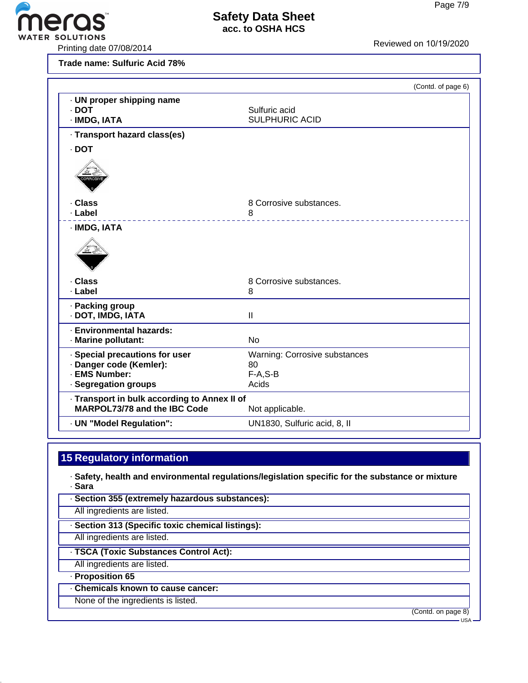eras<sup>®</sup>

VATER SOLUTIONS<br>Printing date 07/08/2014 Printing date 07/08/2014

**Trade name: Sulfuric Acid 78%**

|                                                                              | (Contd. of page 6)                     |
|------------------------------------------------------------------------------|----------------------------------------|
| · UN proper shipping name<br>$\cdot$ DOT<br>· IMDG, IATA                     | Sulfuric acid<br><b>SULPHURIC ACID</b> |
| · Transport hazard class(es)                                                 |                                        |
| · DOT                                                                        |                                        |
| RROSI                                                                        |                                        |
| · Class                                                                      | 8 Corrosive substances.                |
| · Label                                                                      | 8                                      |
| · IMDG, IATA                                                                 |                                        |
| . Class                                                                      | 8 Corrosive substances.                |
| · Label                                                                      | 8                                      |
| · Packing group<br>· DOT, IMDG, IATA                                         | $\mathbf{II}$                          |
| · Environmental hazards:<br>· Marine pollutant:                              | <b>No</b>                              |
| · Special precautions for user                                               | Warning: Corrosive substances          |
| · Danger code (Kemler):                                                      | 80                                     |
| · EMS Number:<br>· Segregation groups                                        | $F-A.S-B$<br>Acids                     |
|                                                                              |                                        |
| · Transport in bulk according to Annex II of<br>MARPOL73/78 and the IBC Code | Not applicable.                        |
| · UN "Model Regulation":                                                     | UN1830, Sulfuric acid, 8, II           |

## **15 Regulatory information**

- · **Safety, health and environmental regulations/legislation specific for the substance or mixture** · **Sara**
- · **Section 355 (extremely hazardous substances):**
- All ingredients are listed.
- · **Section 313 (Specific toxic chemical listings):**
- All ingredients are listed.
- · **TSCA (Toxic Substances Control Act):**
- All ingredients are listed.
- · **Proposition 65**
- · **Chemicals known to cause cancer:**
- None of the ingredients is listed.

(Contd. on page 8)

 $-USA$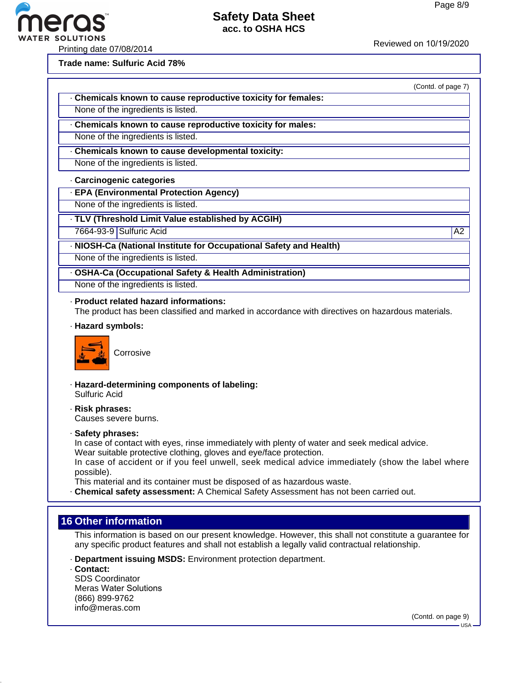

Printing date 07/08/2014<br>
Reviewed on 10/19/2020<br>
Reviewed on 10/19/2020

**Trade name: Sulfuric Acid 78%**

|                                                             | (Contd. of page 7) |
|-------------------------------------------------------------|--------------------|
| Chemicals known to cause reproductive toxicity for females: |                    |
| None of the ingredients is listed.                          |                    |
| Chemicals known to cause reproductive toxicity for males:   |                    |
| None of the ingredients is listed.                          |                    |
| Chemicals known to cause developmental toxicity:            |                    |
| None of the ingredients is listed.                          |                    |

#### · **Carcinogenic categories**

· **EPA (Environmental Protection Agency)**

None of the ingredients is listed.

· **TLV (Threshold Limit Value established by ACGIH)**

7664-93-9 Sulfuric Acid A2

· **NIOSH-Ca (National Institute for Occupational Safety and Health)**

None of the ingredients is listed.

· **OSHA-Ca (Occupational Safety & Health Administration)**

None of the ingredients is listed.

· **Product related hazard informations:** The product has been classified and marked in accordance with directives on hazardous materials.

· **Hazard symbols:**



- · **Hazard-determining components of labeling:** Sulfuric Acid
- · **Risk phrases:** Causes severe burns.
- · **Safety phrases:**

In case of contact with eyes, rinse immediately with plenty of water and seek medical advice. Wear suitable protective clothing, gloves and eye/face protection.

In case of accident or if you feel unwell, seek medical advice immediately (show the label where possible).

This material and its container must be disposed of as hazardous waste.

· **Chemical safety assessment:** A Chemical Safety Assessment has not been carried out.

## **16 Other information**

This information is based on our present knowledge. However, this shall not constitute a guarantee for any specific product features and shall not establish a legally valid contractual relationship.

· **Department issuing MSDS:** Environment protection department.

· **Contact:** SDS Coordinator Meras Water Solutions (866) 899-9762 info@meras.com

(Contd. on page 9)

 $-$ USA